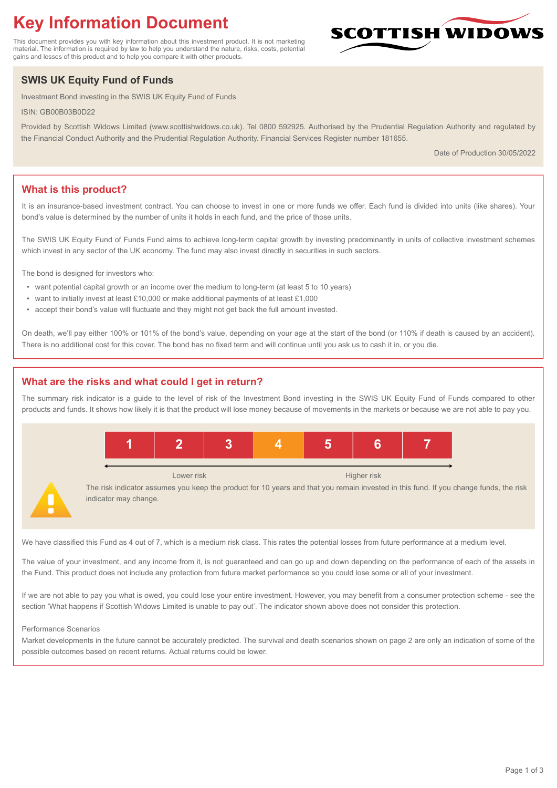# **Key Information Document**

This document provides you with key information about this investment product. It is not marketing material. The information is required by law to help you understand the nature, risks, costs, potential gains and losses of this product and to help you compare it with other products.

# **SWIS UK Equity Fund of Funds**

Investment Bond investing in the SWIS UK Equity Fund of Funds

ISIN: GB00B03B0D22

Provided by Scottish Widows Limited (www.scottishwidows.co.uk). Tel 0800 592925. Authorised by the Prudential Regulation Authority and regulated by the Financial Conduct Authority and the Prudential Regulation Authority. Financial Services Register number 181655.

Date of Production 30/05/2022

**SCOTTISH WIDOW** 

# **What is this product?**

It is an insurance-based investment contract. You can choose to invest in one or more funds we offer. Each fund is divided into units (like shares). Your bond's value is determined by the number of units it holds in each fund, and the price of those units.

The SWIS UK Equity Fund of Funds Fund aims to achieve long-term capital growth by investing predominantly in units of collective investment schemes which invest in any sector of the UK economy. The fund may also invest directly in securities in such sectors.

The bond is designed for investors who:

- want potential capital growth or an income over the medium to long-term (at least 5 to 10 years)
- want to initially invest at least £10,000 or make additional payments of at least £1,000
- accept their bond's value will fluctuate and they might not get back the full amount invested.

On death, we'll pay either 100% or 101% of the bond's value, depending on your age at the start of the bond (or 110% if death is caused by an accident). There is no additional cost for this cover. The bond has no fixed term and will continue until you ask us to cash it in, or you die.

# **What are the risks and what could I get in return?**

The summary risk indicator is a guide to the level of risk of the Investment Bond investing in the SWIS UK Equity Fund of Funds compared to other products and funds. It shows how likely it is that the product will lose money because of movements in the markets or because we are not able to pay you.



We have classified this Fund as 4 out of 7, which is a medium risk class. This rates the potential losses from future performance at a medium level.

The value of your investment, and any income from it, is not guaranteed and can go up and down depending on the performance of each of the assets in the Fund. This product does not include any protection from future market performance so you could lose some or all of your investment.

If we are not able to pay you what is owed, you could lose your entire investment. However, you may benefit from a consumer protection scheme - see the section 'What happens if Scottish Widows Limited is unable to pay out'. The indicator shown above does not consider this protection.

#### Performance Scenarios

Market developments in the future cannot be accurately predicted. The survival and death scenarios shown on page 2 are only an indication of some of the possible outcomes based on recent returns. Actual returns could be lower.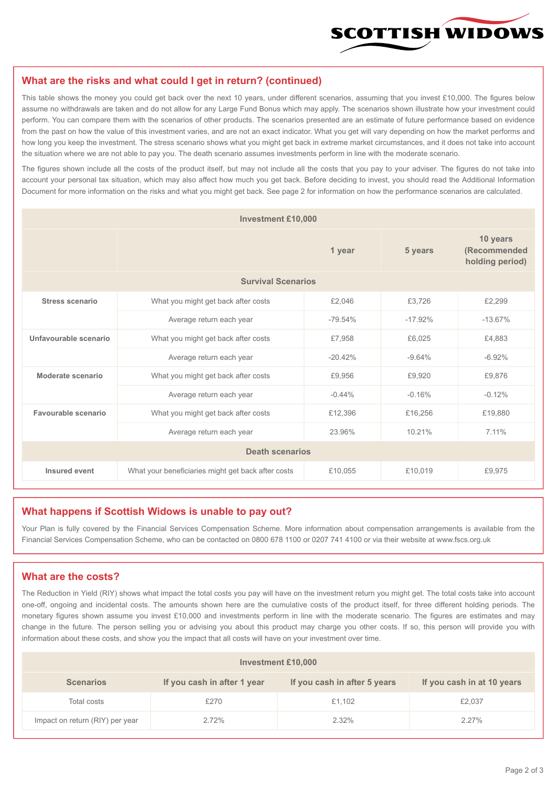

#### **What are the risks and what could I get in return? (continued)**

This table shows the money you could get back over the next 10 years, under different scenarios, assuming that you invest £10,000. The figures below assume no withdrawals are taken and do not allow for any Large Fund Bonus which may apply. The scenarios shown illustrate how your investment could perform. You can compare them with the scenarios of other products. The scenarios presented are an estimate of future performance based on evidence from the past on how the value of this investment varies, and are not an exact indicator. What you get will vary depending on how the market performs and how long you keep the investment. The stress scenario shows what you might get back in extreme market circumstances, and it does not take into account the situation where we are not able to pay you. The death scenario assumes investments perform in line with the moderate scenario.

The figures shown include all the costs of the product itself, but may not include all the costs that you pay to your adviser. The figures do not take into account your personal tax situation, which may also affect how much you get back. Before deciding to invest, you should read the Additional Information Document for more information on the risks and what you might get back. See page 2 for information on how the performance scenarios are calculated.

| <b>Investment £10,000</b> |                                                    |           |                                             |           |  |  |
|---------------------------|----------------------------------------------------|-----------|---------------------------------------------|-----------|--|--|
|                           |                                                    | 5 years   | 10 years<br>(Recommended<br>holding period) |           |  |  |
| <b>Survival Scenarios</b> |                                                    |           |                                             |           |  |  |
| <b>Stress scenario</b>    | £2,046<br>What you might get back after costs      |           | £3,726                                      | £2,299    |  |  |
|                           | $-79.54%$<br>Average return each year              |           | $-17.92%$                                   | $-13.67%$ |  |  |
| Unfavourable scenario     | What you might get back after costs<br>£7,958      |           | £6,025                                      | £4,883    |  |  |
|                           | Average return each year                           | $-20.42%$ | $-9.64%$                                    | $-6.92%$  |  |  |
| Moderate scenario         | What you might get back after costs                | £9,956    | £9,920                                      | £9,876    |  |  |
|                           | Average return each year                           | $-0.44%$  | $-0.16%$                                    | $-0.12%$  |  |  |
| Favourable scenario       | What you might get back after costs                | £12,396   | £16,256                                     | £19,880   |  |  |
| Average return each year  |                                                    | 23.96%    | 10.21%                                      | 7.11%     |  |  |
| <b>Death scenarios</b>    |                                                    |           |                                             |           |  |  |
| Insured event             | What your beneficiaries might get back after costs | £10,055   | £10,019                                     | £9.975    |  |  |

#### **What happens if Scottish Widows is unable to pay out?**

Your Plan is fully covered by the Financial Services Compensation Scheme. More information about compensation arrangements is available from the Financial Services Compensation Scheme, who can be contacted on 0800 678 1100 or 0207 741 4100 or via their website at www.fscs.org.uk

# **What are the costs?**

The Reduction in Yield (RIY) shows what impact the total costs you pay will have on the investment return you might get. The total costs take into account one-off, ongoing and incidental costs. The amounts shown here are the cumulative costs of the product itself, for three different holding periods. The monetary figures shown assume you invest £10,000 and investments perform in line with the moderate scenario. The figures are estimates and may change in the future. The person selling you or advising you about this product may charge you other costs. If so, this person will provide you with information about these costs, and show you the impact that all costs will have on your investment over time.

| <b>Investment £10,000</b>       |                             |                              |                            |  |  |  |
|---------------------------------|-----------------------------|------------------------------|----------------------------|--|--|--|
| <b>Scenarios</b>                | If you cash in after 1 year | If you cash in after 5 years | If you cash in at 10 years |  |  |  |
| Total costs                     | £270                        | £1,102                       | £2,037                     |  |  |  |
| Impact on return (RIY) per year | 2.72%                       | 2.32%                        | $2.27\%$                   |  |  |  |